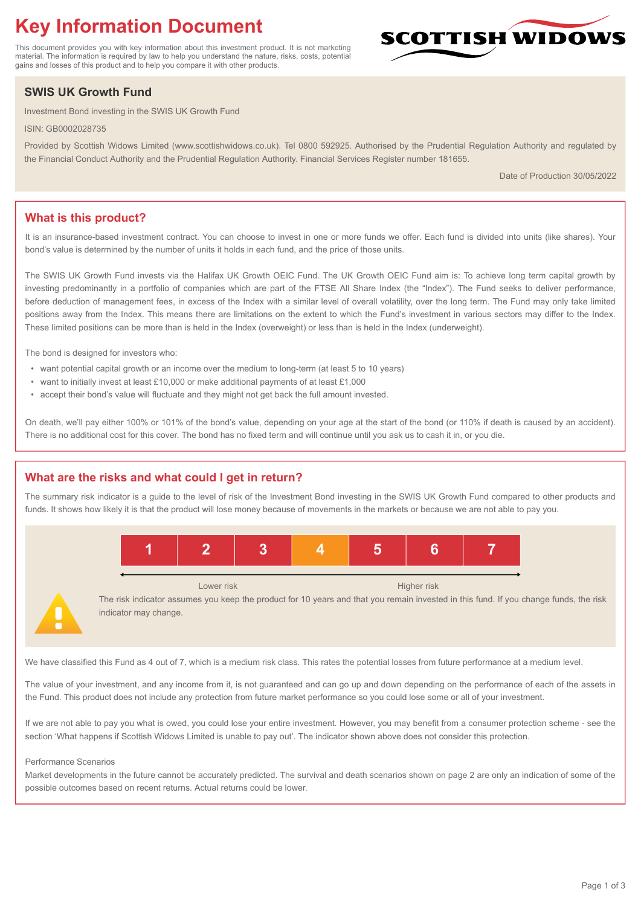# **Key Information Document**

This document provides you with key information about this investment product. It is not marketing material. The information is required by law to help you understand the nature, risks, costs, potential gains and losses of this product and to help you compare it with other products.

## **SWIS UK Growth Fund**

Investment Bond investing in the SWIS UK Growth Fund

ISIN: GB0002028735

Provided by Scottish Widows Limited (www.scottishwidows.co.uk). Tel 0800 592925. Authorised by the Prudential Regulation Authority and regulated by the Financial Conduct Authority and the Prudential Regulation Authority. Financial Services Register number 181655.

Date of Production 30/05/2022

**SCOTTISH WIDOW** 

## **What is this product?**

It is an insurance-based investment contract. You can choose to invest in one or more funds we offer. Each fund is divided into units (like shares). Your bond's value is determined by the number of units it holds in each fund, and the price of those units.

The SWIS UK Growth Fund invests via the Halifax UK Growth OEIC Fund. The UK Growth OEIC Fund aim is: To achieve long term capital growth by investing predominantly in a portfolio of companies which are part of the FTSE All Share Index (the "Index"). The Fund seeks to deliver performance, before deduction of management fees, in excess of the Index with a similar level of overall volatility, over the long term. The Fund may only take limited positions away from the Index. This means there are limitations on the extent to which the Fund's investment in various sectors may differ to the Index. These limited positions can be more than is held in the Index (overweight) or less than is held in the Index (underweight).

The bond is designed for investors who:

- want potential capital growth or an income over the medium to long-term (at least 5 to 10 years)
- want to initially invest at least £10,000 or make additional payments of at least £1,000
- accept their bond's value will fluctuate and they might not get back the full amount invested.

On death, we'll pay either 100% or 101% of the bond's value, depending on your age at the start of the bond (or 110% if death is caused by an accident). There is no additional cost for this cover. The bond has no fixed term and will continue until you ask us to cash it in, or you die.

## **What are the risks and what could I get in return?**

The summary risk indicator is a guide to the level of risk of the Investment Bond investing in the SWIS UK Growth Fund compared to other products and funds. It shows how likely it is that the product will lose money because of movements in the markets or because we are not able to pay you.



The risk indicator assumes you keep the product for 10 years and that you remain invested in this fund. If you change funds, the risk indicator may change.

We have classified this Fund as 4 out of 7, which is a medium risk class. This rates the potential losses from future performance at a medium level.

The value of your investment, and any income from it, is not guaranteed and can go up and down depending on the performance of each of the assets in the Fund. This product does not include any protection from future market performance so you could lose some or all of your investment.

If we are not able to pay you what is owed, you could lose your entire investment. However, you may benefit from a consumer protection scheme - see the section 'What happens if Scottish Widows Limited is unable to pay out'. The indicator shown above does not consider this protection.

#### Performance Scenarios

Market developments in the future cannot be accurately predicted. The survival and death scenarios shown on page 2 are only an indication of some of the possible outcomes based on recent returns. Actual returns could be lower.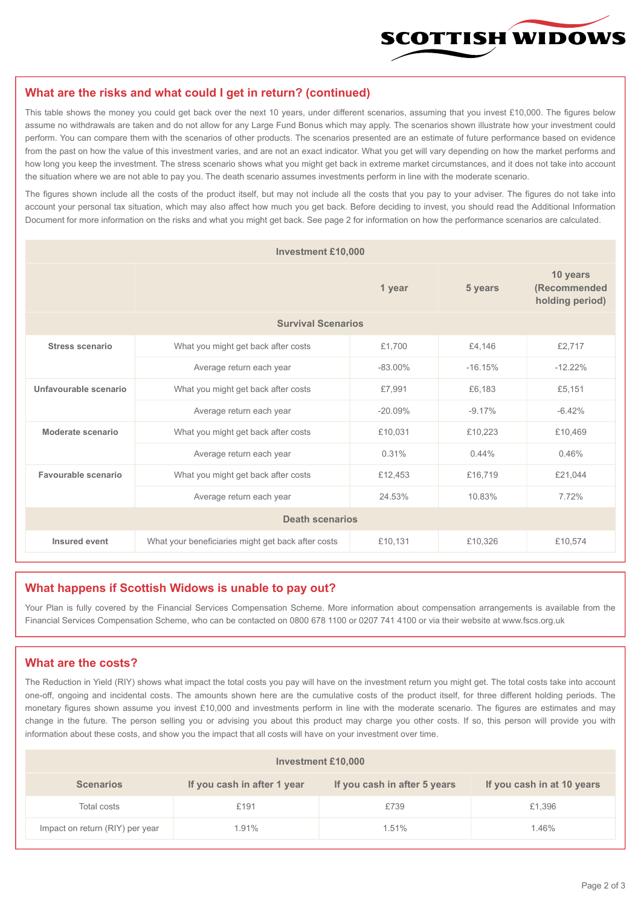

#### **What are the risks and what could I get in return? (continued)**

This table shows the money you could get back over the next 10 years, under different scenarios, assuming that you invest £10,000. The figures below assume no withdrawals are taken and do not allow for any Large Fund Bonus which may apply. The scenarios shown illustrate how your investment could perform. You can compare them with the scenarios of other products. The scenarios presented are an estimate of future performance based on evidence from the past on how the value of this investment varies, and are not an exact indicator. What you get will vary depending on how the market performs and how long you keep the investment. The stress scenario shows what you might get back in extreme market circumstances, and it does not take into account the situation where we are not able to pay you. The death scenario assumes investments perform in line with the moderate scenario.

The figures shown include all the costs of the product itself, but may not include all the costs that you pay to your adviser. The figures do not take into account your personal tax situation, which may also affect how much you get back. Before deciding to invest, you should read the Additional Information Document for more information on the risks and what you might get back. See page 2 for information on how the performance scenarios are calculated.

| <b>Investment £10,000</b> |                                                    |           |           |                                             |  |  |
|---------------------------|----------------------------------------------------|-----------|-----------|---------------------------------------------|--|--|
|                           | 1 year                                             |           | 5 years   | 10 years<br>(Recommended<br>holding period) |  |  |
| <b>Survival Scenarios</b> |                                                    |           |           |                                             |  |  |
| <b>Stress scenario</b>    | £1,700<br>What you might get back after costs      |           | £4,146    | £2,717                                      |  |  |
|                           | $-83.00\%$<br>Average return each year             |           | $-16.15%$ | $-12.22%$                                   |  |  |
| Unfavourable scenario     | What you might get back after costs<br>£7,991      |           | £6.183    | £5,151                                      |  |  |
|                           | Average return each year                           | $-20.09%$ | $-9.17%$  | $-6.42%$                                    |  |  |
| Moderate scenario         | What you might get back after costs<br>£10,031     |           | £10,223   | £10,469                                     |  |  |
|                           | Average return each year                           | 0.31%     | 0.44%     | 0.46%                                       |  |  |
| Favourable scenario       | What you might get back after costs                | £12,453   | £16,719   | £21,044                                     |  |  |
|                           | Average return each year                           | 24.53%    | 10.83%    | 7.72%                                       |  |  |
| <b>Death scenarios</b>    |                                                    |           |           |                                             |  |  |
| Insured event             | What your beneficiaries might get back after costs | £10,131   | £10,326   | £10,574                                     |  |  |

#### **What happens if Scottish Widows is unable to pay out?**

Your Plan is fully covered by the Financial Services Compensation Scheme. More information about compensation arrangements is available from the Financial Services Compensation Scheme, who can be contacted on 0800 678 1100 or 0207 741 4100 or via their website at www.fscs.org.uk

#### **What are the costs?**

The Reduction in Yield (RIY) shows what impact the total costs you pay will have on the investment return you might get. The total costs take into account one-off, ongoing and incidental costs. The amounts shown here are the cumulative costs of the product itself, for three different holding periods. The monetary figures shown assume you invest £10,000 and investments perform in line with the moderate scenario. The figures are estimates and may change in the future. The person selling you or advising you about this product may charge you other costs. If so, this person will provide you with information about these costs, and show you the impact that all costs will have on your investment over time.

| <b>Investment £10,000</b>       |                             |                              |                            |  |  |  |
|---------------------------------|-----------------------------|------------------------------|----------------------------|--|--|--|
| <b>Scenarios</b>                | If you cash in after 1 year | If you cash in after 5 years | If you cash in at 10 years |  |  |  |
| Total costs                     | £191                        | £739                         | £1,396                     |  |  |  |
| Impact on return (RIY) per year | 1.91%                       | 1.51%                        | 1.46%                      |  |  |  |